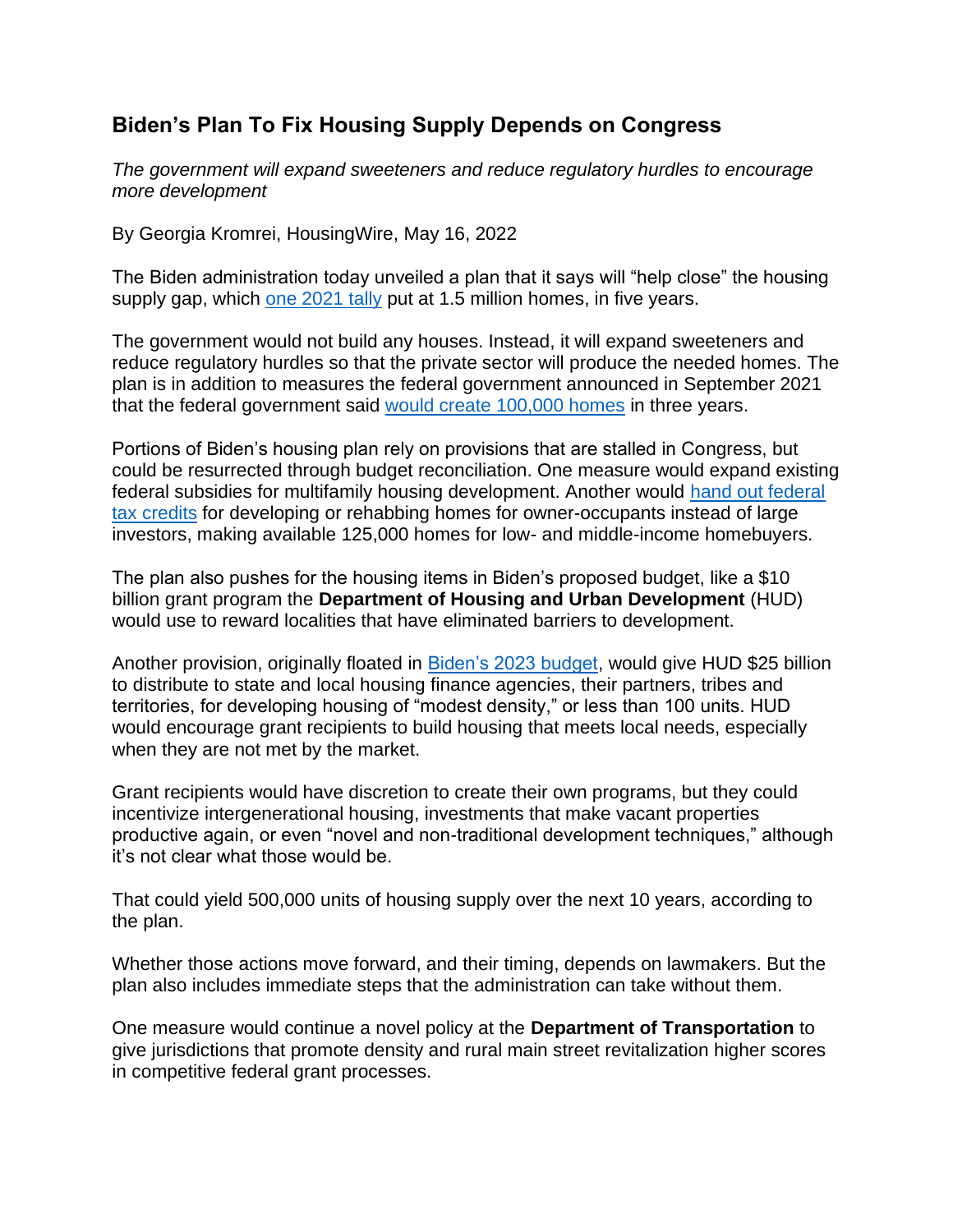## **Biden's Plan To Fix Housing Supply Depends on Congress**

*The government will expand sweeteners and reduce regulatory hurdles to encourage more development*

By Georgia Kromrei, HousingWire, May 16, 2022

The Biden administration today unveiled a plan that it says will "help close" the housing supply gap, which one 2021 tally put at 1.5 million homes, in five years.

The government would not build any houses. Instead, it will expand sweeteners and reduce regulatory hurdles so that the private sector will produce the needed homes. The plan is in addition to measures the federal government announced in September 2021 that the federal government said would create 100,000 homes in three years.

Portions of Biden's housing plan rely on provisions that are stalled in Congress, but could be resurrected through budget reconciliation. One measure would expand existing federal subsidies for multifamily housing development. Another would hand out federal tax credits for developing or rehabbing homes for owner-occupants instead of large investors, making available 125,000 homes for low- and middle-income homebuyers.

The plan also pushes for the housing items in Biden's proposed budget, like a \$10 billion grant program the **Department of Housing and Urban Development** (HUD) would use to reward localities that have eliminated barriers to development.

Another provision, originally floated in Biden's 2023 budget, would give HUD \$25 billion to distribute to state and local housing finance agencies, their partners, tribes and territories, for developing housing of "modest density," or less than 100 units. HUD would encourage grant recipients to build housing that meets local needs, especially when they are not met by the market.

Grant recipients would have discretion to create their own programs, but they could incentivize intergenerational housing, investments that make vacant properties productive again, or even "novel and non-traditional development techniques," although it's not clear what those would be.

That could yield 500,000 units of housing supply over the next 10 years, according to the plan.

Whether those actions move forward, and their timing, depends on lawmakers. But the plan also includes immediate steps that the administration can take without them.

One measure would continue a novel policy at the **Department of Transportation** to give jurisdictions that promote density and rural main street revitalization higher scores in competitive federal grant processes.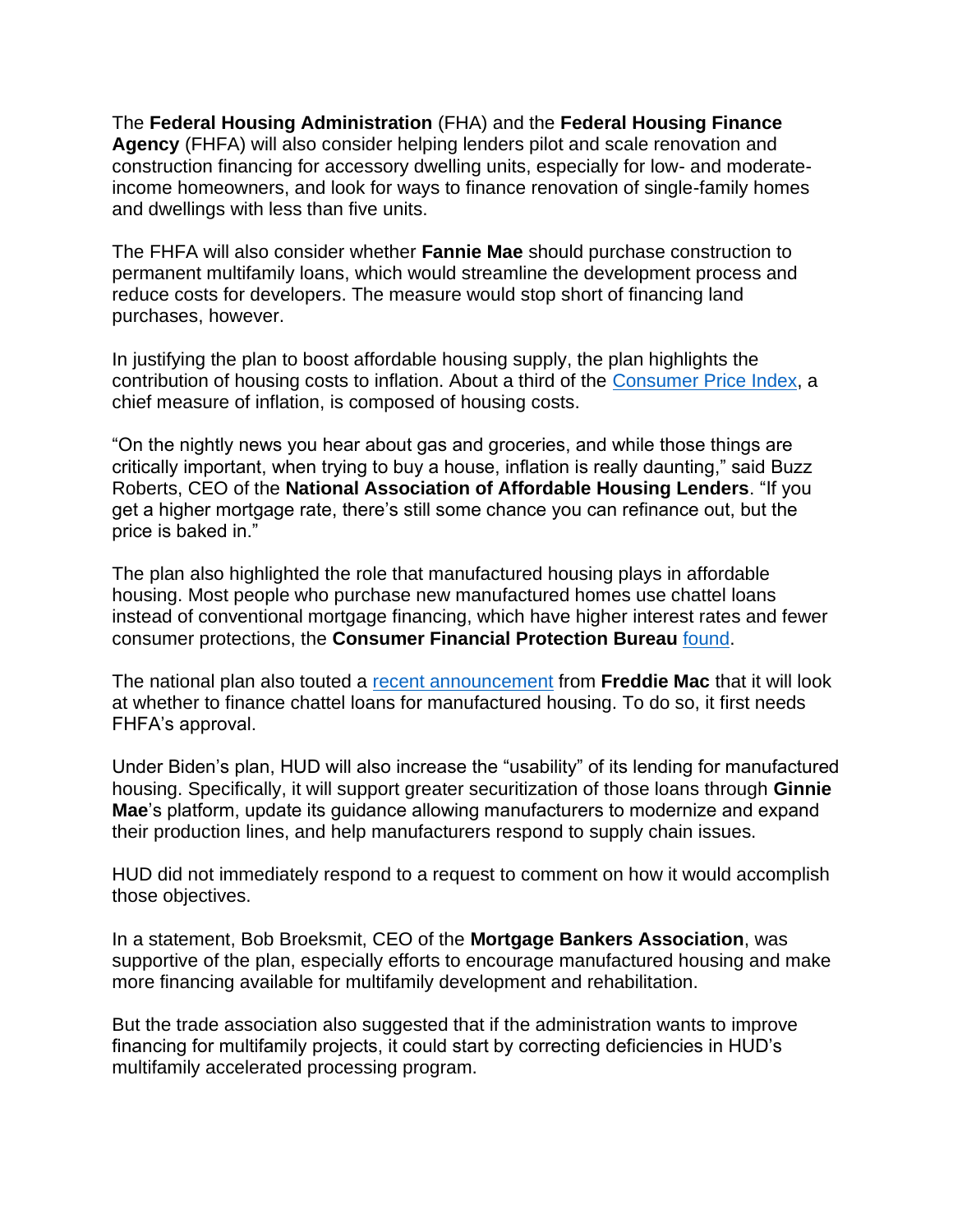The **Federal Housing Administration** (FHA) and the **Federal Housing Finance Agency** (FHFA) will also consider helping lenders pilot and scale renovation and construction financing for accessory dwelling units, especially for low- and moderateincome homeowners, and look for ways to finance renovation of single-family homes and dwellings with less than five units.

The FHFA will also consider whether **Fannie Mae** should purchase construction to permanent multifamily loans, which would streamline the development process and reduce costs for developers. The measure would stop short of financing land purchases, however.

In justifying the plan to boost affordable housing supply, the plan highlights the contribution of housing costs to inflation. About a third of the Consumer Price Index, a chief measure of inflation, is composed of housing costs.

"On the nightly news you hear about gas and groceries, and while those things are critically important, when trying to buy a house, inflation is really daunting," said Buzz Roberts, CEO of the **National Association of Affordable Housing Lenders**. "If you get a higher mortgage rate, there's still some chance you can refinance out, but the price is baked in."

The plan also highlighted the role that manufactured housing plays in affordable housing. Most people who purchase new manufactured homes use chattel loans instead of conventional mortgage financing, which have higher interest rates and fewer consumer protections, the **Consumer Financial Protection Bureau** found.

The national plan also touted a recent announcement from Freddie Mac that it will look at whether to finance chattel loans for manufactured housing. To do so, it first needs FHFA's approval.

Under Biden's plan, HUD will also increase the "usability" of its lending for manufactured housing. Specifically, it will support greater securitization of those loans through **Ginnie Mae**'s platform, update its guidance allowing manufacturers to modernize and expand their production lines, and help manufacturers respond to supply chain issues.

HUD did not immediately respond to a request to comment on how it would accomplish those objectives.

In a statement, Bob Broeksmit, CEO of the **Mortgage Bankers Association**, was supportive of the plan, especially efforts to encourage manufactured housing and make more financing available for multifamily development and rehabilitation.

But the trade association also suggested that if the administration wants to improve financing for multifamily projects, it could start by correcting deficiencies in HUD's multifamily accelerated processing program.